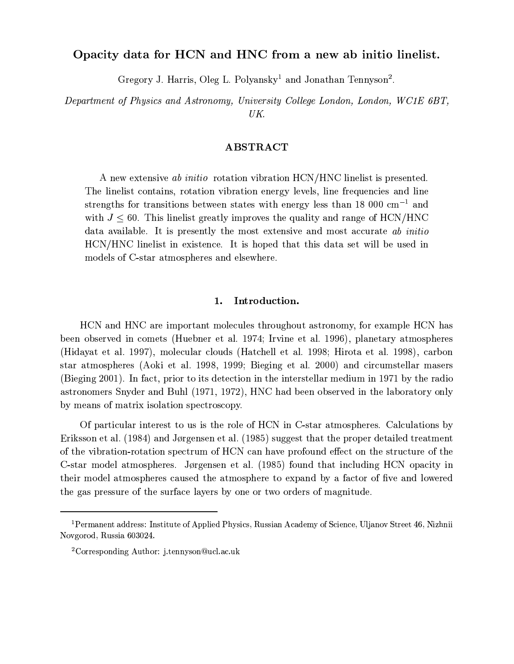# Opacity data for HCN and HNC from a new ab initio linelist.

Gregory J. Harris, Oleg L. Polyansky<sup>1</sup> and Jonathan Tennyson<sup>2</sup>.

Department of Physics and Astronomy, University College London, London, WC1E 6BT, UK.

## **ABSTRACT**

A new extensive ab initio rotation vibration HCN/HNC linelist is presented. The linelist contains, rotation vibration energy levels, line frequencies and line strengths for transitions between states with energy less than 18 000  $\mathrm{cm}^{-1}$  and with  $J \leq 60$ . This linelist greatly improves the quality and range of HCN/HNC data available. It is presently the most extensive and most accurate ab initio HCN/HNC linelist in existence. It is hoped that this data set will be used in models of C-star atmospheres and elsewhere.

#### Introduction. 1.

HCN and HNC are important molecules throughout astronomy, for example HCN has been observed in comets (Huebner et al. 1974; Irvine et al. 1996), planetary atmospheres (Hidayat et al. 1997), molecular clouds (Hatchell et al. 1998; Hirota et al. 1998), carbon star atmospheres (Aoki et al. 1998, 1999; Bieging et al. 2000) and circumstellar masers (Bieging 2001). In fact, prior to its detection in the interstellar medium in 1971 by the radio astronomers Snyder and Buhl (1971, 1972), HNC had been observed in the laboratory only by means of matrix isolation spectroscopy.

Of particular interest to us is the role of HCN in C-star atmospheres. Calculations by Eriksson et al. (1984) and Jørgensen et al. (1985) suggest that the proper detailed treatment of the vibration-rotation spectrum of HCN can have profound effect on the structure of the C-star model atmospheres. Jørgensen et al. (1985) found that including HCN opacity in their model atmospheres caused the atmosphere to expand by a factor of five and lowered the gas pressure of the surface layers by one or two orders of magnitude.

<sup>&</sup>lt;sup>1</sup> Permanent address: Institute of Applied Physics, Russian Academy of Science, Uljanov Street 46, Nizhnii Novgorod, Russia 603024.

<sup>&</sup>lt;sup>2</sup>Corresponding Author: j.tennyson@ucl.ac.uk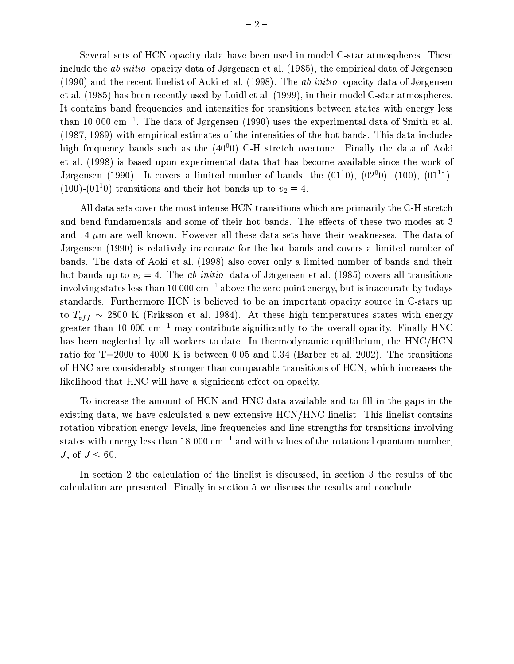Several sets of HCN opacity data have been used in model C-star atmospheres. These include the *ab initio* opacity data of Jørgensen et al. (1985), the empirical data of Jørgensen  $(1990)$  and the recent linelist of Aoki et al. (1998). The *ab initio* opacity data of Jørgensen et al. (1985) has been recently used by Loidl et al. (1999), in their model C-star atmospheres. It contains band frequencies and intensities for transitions between states with energy less than 10 000 cm<sup>-1</sup>. The data of Jørgensen (1990) uses the experimental data of Smith et al. (1987, 1989) with empirical estimates of the intensities of the hot bands. This data includes high frequency bands such as the  $(40^0$ <sub>0</sub>) C-H stretch overtone. Finally the data of Aoki et al. (1998) is based upon experimental data that has become available since the work of Jørgensen (1990). It covers a limited number of bands, the  $(01^10)$ ,  $(02^00)$ ,  $(100)$ ,  $(01^11)$ ,  $(100)$ - $(01<sup>1</sup>0)$  transitions and their hot bands up to  $v_2 = 4$ .

All data sets cover the most intense HCN transitions which are primarily the C-H stretch and bend fundamentals and some of their hot bands. The effects of these two modes at 3 and 14  $\mu$ m are well known. However all these data sets have their weaknesses. The data of Jørgensen (1990) is relatively inaccurate for the hot bands and covers a limited number of bands. The data of Aoki et al. (1998) also cover only a limited number of bands and their hot bands up to  $v_2 = 4$ . The *ab initio* data of Jørgensen et al. (1985) covers all transitions involving states less than 10 000  $\text{cm}^{-1}$  above the zero point energy, but is inaccurate by todays standards. Furthermore HCN is believed to be an important opacity source in C-stars up to  $T_{eff}$  ~ 2800 K (Eriksson et al. 1984). At these high temperatures states with energy greater than 10 000  $\text{cm}^{-1}$  may contribute significantly to the overall opacity. Finally HNC has been neglected by all workers to date. In thermodynamic equilibrium, the HNC/HCN ratio for  $T=2000$  to 4000 K is between 0.05 and 0.34 (Barber et al. 2002). The transitions of HNC are considerably stronger than comparable transitions of HCN, which increases the likelihood that HNC will have a significant effect on opacity.

To increase the amount of HCN and HNC data available and to fill in the gaps in the existing data, we have calculated a new extensive HCN/HNC linelist. This linelist contains rotation vibration energy levels, line frequencies and line strengths for transitions involving states with energy less than 18 000  $\text{cm}^{-1}$  and with values of the rotational quantum number,  $J, \text{ of } J \leq 60.$ 

In section 2 the calculation of the linelist is discussed, in section 3 the results of the calculation are presented. Finally in section 5 we discuss the results and conclude.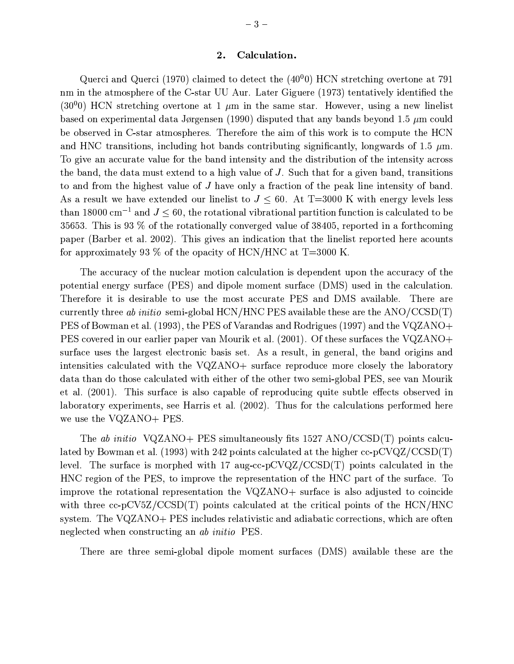Querci and Querci (1970) claimed to detect the  $(40^0$ 0) HCN stretching overtone at 791 nm in the atmosphere of the C-star UU Aur. Later Giguere (1973) tentatively identified the  $(30^00)$  HCN stretching overtone at 1  $\mu$ m in the same star. However, using a new linelist based on experimental data Jørgensen (1990) disputed that any bands beyond 1.5  $\mu$ m could be observed in C-star atmospheres. Therefore the aim of this work is to compute the HCN and HNC transitions, including hot bands contributing significantly, longwards of 1.5  $\mu$ m. To give an accurate value for the band intensity and the distribution of the intensity across the band, the data must extend to a high value of J. Such that for a given band, transitions to and from the highest value of J have only a fraction of the peak line intensity of band. As a result we have extended our linelist to  $J \leq 60$ . At T=3000 K with energy levels less than 18000 cm<sup>-1</sup> and  $J \leq 60$ , the rotational vibrational partition function is calculated to be 35653. This is 93  $\%$  of the rotationally converged value of 38405, reported in a forthcoming paper (Barber et al. 2002). This gives an indication that the linelist reported here acounts for approximately 93  $\%$  of the opacity of HCN/HNC at T=3000 K.

The accuracy of the nuclear motion calculation is dependent upon the accuracy of the potential energy surface (PES) and dipole moment surface (DMS) used in the calculation. Therefore it is desirable to use the most accurate PES and DMS available. There are currently three ab initio semi-global HCN/HNC PES available these are the  $ANO/CCSD(T)$ PES of Bowman et al. (1993), the PES of Varandas and Rodrigues (1997) and the VQZANO+ PES covered in our earlier paper van Mourik et al. (2001). Of these surfaces the VQZANO+ surface uses the largest electronic basis set. As a result, in general, the band origins and intensities calculated with the VQZANO+ surface reproduce more closely the laboratory data than do those calculated with either of the other two semi-global PES, see van Mourik et al. (2001). This surface is also capable of reproducing quite subtle effects observed in laboratory experiments, see Harris et al. (2002). Thus for the calculations performed here we use the VQZANO+ PES.

The ab initio VQZANO+ PES simultaneously fits 1527 ANO/CCSD(T) points calculated by Bowman et al. (1993) with 242 points calculated at the higher  $cc$ -pCVQZ/CCSD(T) level. The surface is morphed with 17 aug-cc-pCVQZ/CCSD(T) points calculated in the HNC region of the PES, to improve the representation of the HNC part of the surface. To improve the rotational representation the VQZANO+ surface is also adjusted to coincide with three cc-pCV5Z/CCSD(T) points calculated at the critical points of the HCN/HNC system. The VQZANO+ PES includes relativistic and adiabatic corrections, which are often neglected when constructing an *ab initio* PES.

There are three semi-global dipole moment surfaces (DMS) available these are the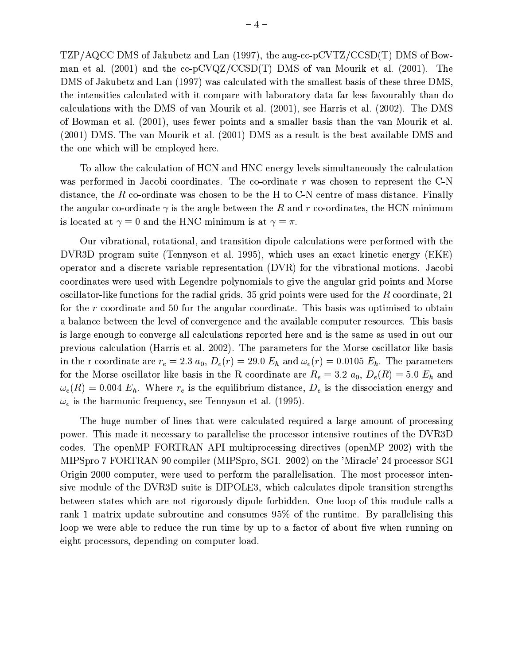$TZP/AQCC$  DMS of Jakubetz and Lan (1997), the aug-cc-pCVTZ/CCSD(T) DMS of Bowman et al. (2001) and the cc-pCVQZ/CCSD(T) DMS of van Mourik et al. (2001). The DMS of Jakubetz and Lan (1997) was calculated with the smallest basis of these three DMS. the intensities calculated with it compare with laboratory data far less favourably than do calculations with the DMS of van Mourik et al. (2001), see Harris et al. (2002). The DMS of Bowman et al. (2001), uses fewer points and a smaller basis than the van Mourik et al. (2001) DMS. The van Mourik et al. (2001) DMS as a result is the best available DMS and the one which will be employed here.

To allow the calculation of HCN and HNC energy levels simultaneously the calculation was performed in Jacobi coordinates. The co-ordinate  $r$  was chosen to represent the C-N distance, the R co-ordinate was chosen to be the H to C-N centre of mass distance. Finally the angular co-ordinate  $\gamma$  is the angle between the R and r co-ordinates, the HCN minimum is located at  $\gamma = 0$  and the HNC minimum is at  $\gamma = \pi$ .

Our vibrational, rotational, and transition dipole calculations were performed with the DVR3D program suite (Tennyson et al. 1995), which uses an exact kinetic energy (EKE) operator and a discrete variable representation (DVR) for the vibrational motions. Jacobi coordinates were used with Legendre polynomials to give the angular grid points and Morse oscillator-like functions for the radial grids. 35 grid points were used for the  $R$  coordinate, 21 for the r coordinate and 50 for the angular coordinate. This basis was optimised to obtain a balance between the level of convergence and the available computer resources. This basis is large enough to converge all calculations reported here and is the same as used in out our previous calculation (Harris et al. 2002). The parameters for the Morse oscillator like basis in the r coordinate are  $r_e = 2.3 a_0$ ,  $D_e(r) = 29.0 E_h$  and  $\omega_e(r) = 0.0105 E_h$ . The parameters for the Morse oscillator like basis in the R coordinate are  $R_e = 3.2 a_0$ ,  $D_e(R) = 5.0 E_h$  and  $\omega_e(R) = 0.004 E_h$ . Where  $r_e$  is the equilibrium distance,  $D_e$  is the dissociation energy and  $\omega_e$  is the harmonic frequency, see Tennyson et al. (1995).

The huge number of lines that were calculated required a large amount of processing power. This made it necessary to parallelise the processor intensive routines of the DVR3D codes. The openMP FORTRAN API multiprocessing directives (openMP 2002) with the MIPSpro 7 FORTRAN 90 compiler (MIPSpro, SGI. 2002) on the 'Miracle' 24 processor SGI Origin 2000 computer, were used to perform the parallelisation. The most processor intensive module of the DVR3D suite is DIPOLE3, which calculates dipole transition strengths between states which are not rigorously dipole forbidden. One loop of this module calls a rank 1 matrix update subroutine and consumes 95% of the runtime. By parallelising this loop we were able to reduce the run time by up to a factor of about five when running on eight processors, depending on computer load.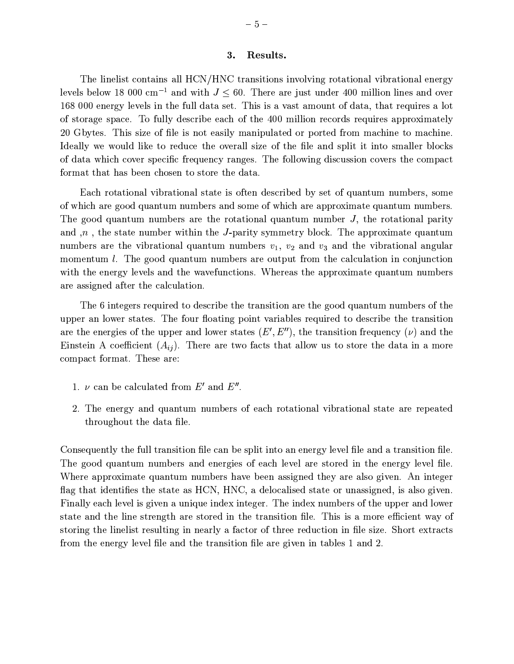#### 3. Results.

The linelist contains all HCN/HNC transitions involving rotational vibrational energy levels below 18 000 cm<sup>-1</sup> and with  $J \leq 60$ . There are just under 400 million lines and over 168 000 energy levels in the full data set. This is a vast amount of data, that requires a lot of storage space. To fully describe each of the 400 million records requires approximately 20 Gbytes. This size of file is not easily manipulated or ported from machine to machine. Ideally we would like to reduce the overall size of the file and split it into smaller blocks of data which cover specific frequency ranges. The following discussion covers the compact format that has been chosen to store the data.

Each rotational vibrational state is often described by set of quantum numbers, some of which are good quantum numbers and some of which are approximate quantum numbers. The good quantum numbers are the rotational quantum number  $J$ , the rotational parity and  $n$ , the state number within the J-parity symmetry block. The approximate quantum numbers are the vibrational quantum numbers  $v_1$ ,  $v_2$  and  $v_3$  and the vibrational angular momentum l. The good quantum numbers are output from the calculation in conjunction with the energy levels and the wavefunctions. Whereas the approximate quantum numbers are assigned after the calculation.

The 6 integers required to describe the transition are the good quantum numbers of the upper an lower states. The four floating point variables required to describe the transition are the energies of the upper and lower states  $(E', E'')$ , the transition frequency  $(\nu)$  and the Einstein A coefficient  $(A_{ij})$ . There are two facts that allow us to store the data in a more compact format. These are:

- 1.  $\nu$  can be calculated from E' and E''.
- 2. The energy and quantum numbers of each rotational vibrational state are repeated throughout the data file.

Consequently the full transition file can be split into an energy level file and a transition file. The good quantum numbers and energies of each level are stored in the energy level file. Where approximate quantum numbers have been assigned they are also given. An integer flag that identifies the state as HCN, HNC, a delocalised state or unassigned, is also given. Finally each level is given a unique index integer. The index numbers of the upper and lower state and the line strength are stored in the transition file. This is a more efficient way of storing the linelist resulting in nearly a factor of three reduction in file size. Short extracts from the energy level file and the transition file are given in tables 1 and 2.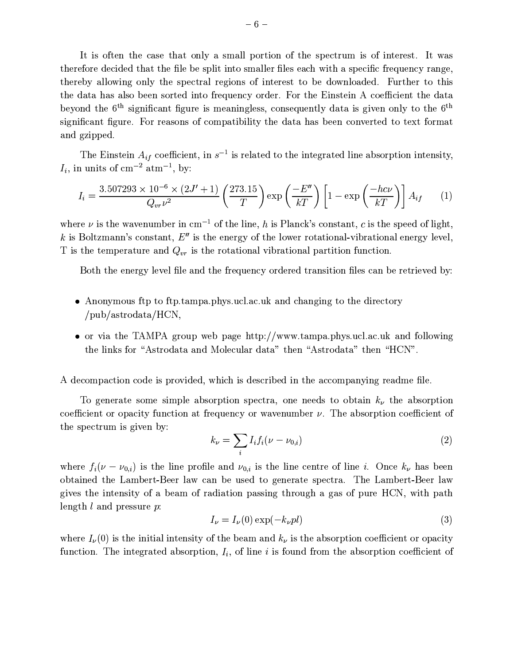It is often the case that only a small portion of the spectrum is of interest. It was therefore decided that the file be split into smaller files each with a specific frequency range, thereby allowing only the spectral regions of interest to be downloaded. Further to this the data has also been sorted into frequency order. For the Einstein A coefficient the data beyond the  $6<sup>th</sup>$  significant figure is meaningless, consequently data is given only to the  $6<sup>th</sup>$ significant figure. For reasons of compatibility the data has been converted to text format and gzipped.

The Einstein  $A_{if}$  coefficient, in  $s^{-1}$  is related to the integrated line absorption intensity,  $I_i$ , in units of cm<sup>-2</sup> atm<sup>-1</sup>, by:

$$
I_{i} = \frac{3.507293 \times 10^{-6} \times (2J' + 1)}{Q_{vr} \nu^{2}} \left(\frac{273.15}{T}\right) \exp\left(\frac{-E''}{kT}\right) \left[1 - \exp\left(\frac{-hc\nu}{kT}\right)\right] A_{if} \qquad (1)
$$

where  $\nu$  is the wavenumber in cm<sup>-1</sup> of the line, h is Planck's constant, c is the speed of light, k is Boltzmann's constant,  $E''$  is the energy of the lower rotational-vibrational energy level, T is the temperature and  $Q_{vr}$  is the rotational vibrational partition function.

Both the energy level file and the frequency ordered transition files can be retrieved by:

- Anonymous ftp to ftp.tampa.phys.ucl.ac.uk and changing to the directory / $pub/astrodata/HCN$ ,
- or via the TAMPA group web page http://www.tampa.phys.ucl.ac.uk and following the links for "Astrodata and Molecular data" then "Astrodata" then "HCN".

A decompaction code is provided, which is described in the accompanying readme file.

To generate some simple absorption spectra, one needs to obtain  $k_{\nu}$  the absorption coefficient or opacity function at frequency or wavenumber  $\nu$ . The absorption coefficient of the spectrum is given by:

$$
k_{\nu} = \sum_{i} I_{i} f_{i} (\nu - \nu_{0,i}) \tag{2}
$$

where  $f_i(\nu - \nu_{0,i})$  is the line profile and  $\nu_{0,i}$  is the line centre of line *i*. Once  $k_{\nu}$  has been obtained the Lambert-Beer law can be used to generate spectra. The Lambert-Beer law gives the intensity of a beam of radiation passing through a gas of pure HCN, with path length  $l$  and pressure  $p$ :

$$
I_{\nu} = I_{\nu}(0) \exp(-k_{\nu}pl)
$$
\n(3)

where  $I_{\nu}(0)$  is the initial intensity of the beam and  $k_{\nu}$  is the absorption coefficient or opacity function. The integrated absorption,  $I_i$ , of line i is found from the absorption coefficient of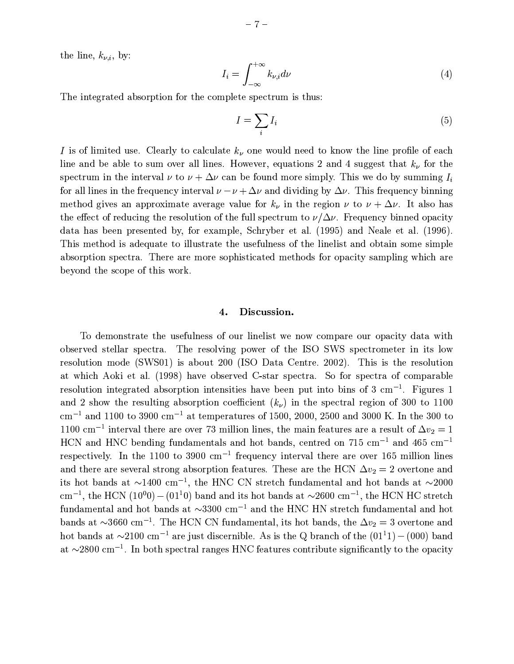the line,  $k_{\nu,i}$ , by:

$$
I_i = \int_{-\infty}^{+\infty} k_{\nu,i} d\nu \tag{4}
$$

The integrated absorption for the complete spectrum is thus:

$$
I = \sum_{i} I_i \tag{5}
$$

I is of limited use. Clearly to calculate  $k_{\nu}$  one would need to know the line profile of each line and be able to sum over all lines. However, equations 2 and 4 suggest that  $k_{\nu}$  for the spectrum in the interval  $\nu$  to  $\nu + \Delta \nu$  can be found more simply. This we do by summing  $I_i$ for all lines in the frequency interval  $\nu - \nu + \Delta \nu$  and dividing by  $\Delta \nu$ . This frequency binning method gives an approximate average value for  $k_{\nu}$  in the region  $\nu$  to  $\nu + \Delta \nu$ . It also has the effect of reducing the resolution of the full spectrum to  $\nu/\Delta \nu$ . Frequency binned opacity data has been presented by, for example, Schryber et al. (1995) and Neale et al. (1996). This method is adequate to illustrate the usefulness of the linelist and obtain some simple absorption spectra. There are more sophisticated methods for opacity sampling which are beyond the scope of this work.

#### Discussion. 4.

To demonstrate the usefulness of our linelist we now compare our opacity data with observed stellar spectra. The resolving power of the ISO SWS spectrometer in its low resolution mode (SWS01) is about 200 (ISO Data Centre. 2002). This is the resolution at which Aoki et al. (1998) have observed C-star spectra. So for spectra of comparable resolution integrated absorption intensities have been put into bins of  $3 \text{ cm}^{-1}$ . Figures 1 and 2 show the resulting absorption coefficient  $(k_{\nu})$  in the spectral region of 300 to 1100  $\text{cm}^{-1}$  and 1100 to 3900  $\text{cm}^{-1}$  at temperatures of 1500, 2000, 2500 and 3000 K. In the 300 to 1100 cm<sup>-1</sup> interval there are over 73 million lines, the main features are a result of  $\Delta v_2 = 1$ HCN and HNC bending fundamentals and hot bands, centred on 715 cm<sup>-1</sup> and 465 cm<sup>-1</sup> respectively. In the 1100 to 3900  $\text{cm}^{-1}$  frequency interval there are over 165 million lines and there are several strong absorption features. These are the HCN  $\Delta v_2 = 2$  overtone and its hot bands at  $\sim$ 1400 cm<sup>-1</sup>, the HNC CN stretch fundamental and hot bands at  $\sim$ 2000 cm<sup>-1</sup>, the HCN (10<sup>0</sup>0) – (01<sup>1</sup>0) band and its hot bands at  $\sim$ 2600 cm<sup>-1</sup>, the HCN HC stretch fundamental and hot bands at  $\sim$ 3300 cm<sup>-1</sup> and the HNC HN stretch fundamental and hot bands at  $\sim$ 3660 cm<sup>-1</sup>. The HCN CN fundamental, its hot bands, the  $\Delta v_2 = 3$  overtone and hot bands at  $\sim$ 2100 cm<sup>-1</sup> are just discernible. As is the Q branch of the  $(01^11) - (000)$  band at  $\sim$ 2800 cm<sup>-1</sup>. In both spectral ranges HNC features contribute significantly to the opacity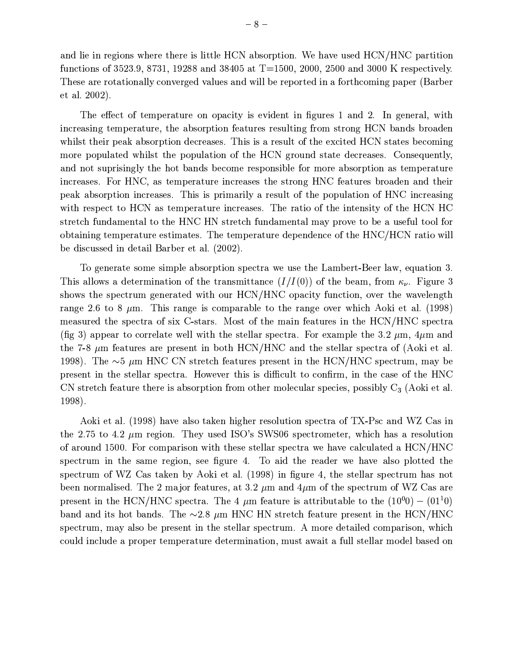and lie in regions where there is little HCN absorption. We have used HCN/HNC partition functions of 3523.9, 8731, 19288 and 38405 at T=1500, 2000, 2500 and 3000 K respectively. These are rotationally converged values and will be reported in a forthcoming paper (Barber  $et al. 2002).$ 

The effect of temperature on opacity is evident in figures 1 and 2. In general, with increasing temperature, the absorption features resulting from strong HCN bands broaden whilst their peak absorption decreases. This is a result of the excited HCN states becoming more populated whilst the population of the HCN ground state decreases. Consequently, and not suprisingly the hot bands become responsible for more absorption as temperature increases. For HNC, as temperature increases the strong HNC features broaden and their peak absorption increases. This is primarily a result of the population of HNC increasing with respect to HCN as temperature increases. The ratio of the intensity of the HCN HC stretch fundamental to the HNC HN stretch fundamental may prove to be a useful tool for obtaining temperature estimates. The temperature dependence of the HNC/HCN ratio will be discussed in detail Barber et al. (2002).

To generate some simple absorption spectra we use the Lambert-Beer law, equation 3. This allows a determination of the transmittance  $(I/I(0))$  of the beam, from  $\kappa_{\nu}$ . Figure 3 shows the spectrum generated with our HCN/HNC opacity function, over the wavelength range 2.6 to 8  $\mu$ m. This range is comparable to the range over which Aoki et al. (1998) measured the spectra of six C-stars. Most of the main features in the HCN/HNC spectra (fig 3) appear to correlate well with the stellar spectra. For example the 3.2  $\mu$ m, 4 $\mu$ m and the 7-8  $\mu$ m features are present in both HCN/HNC and the stellar spectra of (Aoki et al. 1998). The  $\sim$ 5  $\mu$ m HNC CN stretch features present in the HCN/HNC spectrum, may be present in the stellar spectra. However this is difficult to confirm, in the case of the HNC CN stretch feature there is absorption from other molecular species, possibly  $C_3$  (Aoki et al. 1998).

Aoki et al. (1998) have also taken higher resolution spectra of TX-Psc and WZ Cas in the 2.75 to 4.2  $\mu$ m region. They used ISO's SWS06 spectrometer, which has a resolution of around 1500. For comparison with these stellar spectra we have calculated a HCN/HNC spectrum in the same region, see figure 4. To aid the reader we have also plotted the spectrum of WZ Cas taken by Aoki et al. (1998) in figure 4, the stellar spectrum has not been normalised. The 2 major features, at 3.2  $\mu$ m and 4 $\mu$ m of the spectrum of WZ Cas are present in the HCN/HNC spectra. The 4  $\mu$ m feature is attributable to the  $(10^00) - (01^10)$ band and its hot bands. The  $\sim 2.8 \mu m$  HNC HN stretch feature present in the HCN/HNC spectrum, may also be present in the stellar spectrum. A more detailed comparison, which could include a proper temperature determination, must await a full stellar model based on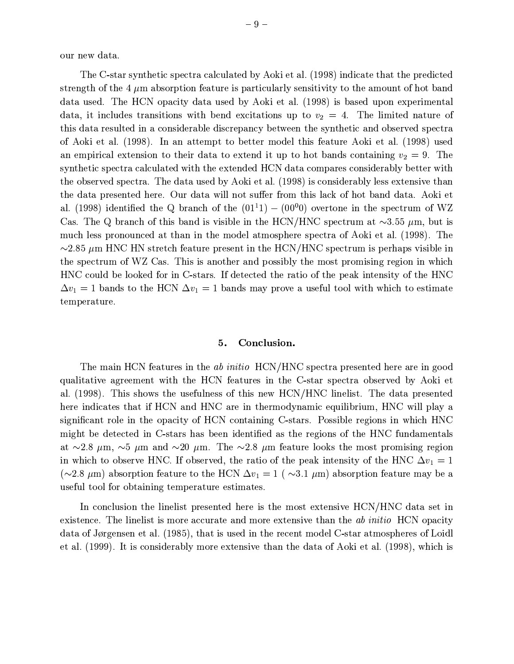our new data.

The C-star synthetic spectra calculated by Aoki et al. (1998) indicate that the predicted strength of the 4  $\mu$ m absorption feature is particularly sensitivity to the amount of hot band data used. The HCN opacity data used by Aoki et al. (1998) is based upon experimental data, it includes transitions with bend excitations up to  $v_2 = 4$ . The limited nature of this data resulted in a considerable discrepancy between the synthetic and observed spectra of Aoki et al. (1998). In an attempt to better model this feature Aoki et al. (1998) used an empirical extension to their data to extend it up to hot bands containing  $v_2 = 9$ . The synthetic spectra calculated with the extended HCN data compares considerably better with the observed spectra. The data used by Aoki et al. (1998) is considerably less extensive than the data presented here. Our data will not suffer from this lack of hot band data. Aoki et al. (1998) identified the Q branch of the  $(01^{11}) - (00^{00})$  overtone in the spectrum of WZ Cas. The Q branch of this band is visible in the HCN/HNC spectrum at  $\sim$ 3.55  $\mu$ m, but is much less pronounced at than in the model atmosphere spectra of Aoki et al. (1998). The  $\sim$ 2.85  $\mu$ m HNC HN stretch feature present in the HCN/HNC spectrum is perhaps visible in the spectrum of WZ Cas. This is another and possibly the most promising region in which HNC could be looked for in C-stars. If detected the ratio of the peak intensity of the HNC  $\Delta v_1 = 1$  bands to the HCN  $\Delta v_1 = 1$  bands may prove a useful tool with which to estimate temperature.

#### Conclusion. 5.

The main HCN features in the *ab initio* HCN/HNC spectra presented here are in good qualitative agreement with the HCN features in the C-star spectra observed by Aoki et al. (1998). This shows the usefulness of this new HCN/HNC linelist. The data presented here indicates that if HCN and HNC are in thermodynamic equilibrium, HNC will play a significant role in the opacity of HCN containing C-stars. Possible regions in which HNC might be detected in C-stars has been identified as the regions of the HNC fundamentals at  $\sim$ 2.8  $\mu$ m,  $\sim$ 5  $\mu$ m and  $\sim$ 20  $\mu$ m. The  $\sim$ 2.8  $\mu$ m feature looks the most promising region in which to observe HNC. If observed, the ratio of the peak intensity of the HNC  $\Delta v_1 = 1$ ( $\sim$ 2.8  $\mu$ m) absorption feature to the HCN  $\Delta v_1 = 1$  ( $\sim$ 3.1  $\mu$ m) absorption feature may be a useful tool for obtaining temperature estimates.

In conclusion the linelist presented here is the most extensive HCN/HNC data set in existence. The linelist is more accurate and more extensive than the *ab initio* HCN opacity data of Jørgensen et al. (1985), that is used in the recent model C-star atmospheres of Loidl et al. (1999). It is considerably more extensive than the data of Aoki et al. (1998), which is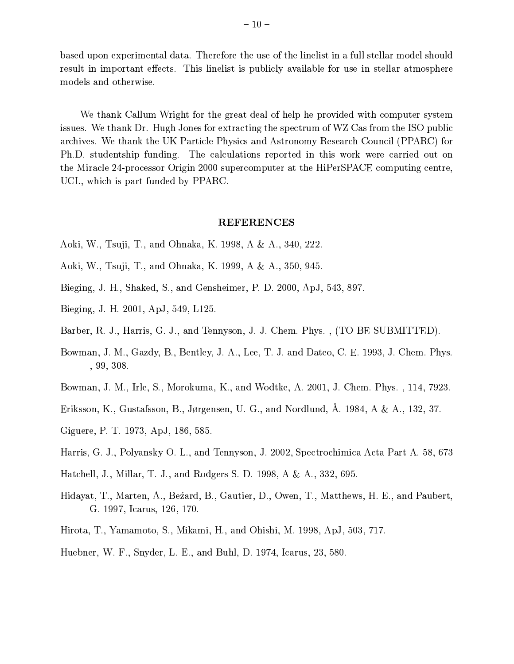based upon experimental data. Therefore the use of the linelist in a full stellar model should result in important effects. This linelist is publicly available for use in stellar atmosphere models and otherwise.

We thank Callum Wright for the great deal of help he provided with computer system issues. We thank Dr. Hugh Jones for extracting the spectrum of WZ Cas from the ISO public archives. We thank the UK Particle Physics and Astronomy Research Council (PPARC) for Ph.D. studentship funding. The calculations reported in this work were carried out on the Miracle 24-processor Origin 2000 supercomputer at the HiPerSPACE computing centre, UCL, which is part funded by PPARC.

### **REFERENCES**

- Aoki, W., Tsuji, T., and Ohnaka, K. 1998, A & A., 340, 222.
- Aoki, W., Tsuji, T., and Ohnaka, K. 1999, A & A., 350, 945.
- Bieging, J. H., Shaked, S., and Gensheimer, P. D. 2000, ApJ, 543, 897.
- Bieging, J. H. 2001, ApJ, 549, L125.
- Barber, R. J., Harris, G. J., and Tennyson, J. J. Chem. Phys., (TO BE SUBMITTED).
- Bowman, J. M., Gazdy, B., Bentley, J. A., Lee, T. J. and Dateo, C. E. 1993, J. Chem. Phys.  $, 99, 308.$
- Bowman, J. M., Irle, S., Morokuma, K., and Wodtke, A. 2001, J. Chem. Phys., 114, 7923.
- Eriksson, K., Gustafsson, B., Jørgensen, U. G., and Nordlund, A. 1984, A & A., 132, 37.
- Giguere, P. T. 1973, ApJ, 186, 585.
- Harris, G. J., Polyansky O. L., and Tennyson, J. 2002, Spectrochimica Acta Part A. 58, 673
- Hatchell, J., Millar, T. J., and Rodgers S. D. 1998, A & A., 332, 695.
- Hidayat, T., Marten, A., Bezard, B., Gautier, D., Owen, T., Matthews, H. E., and Paubert, G. 1997, Icarus, 126, 170.
- Hirota, T., Yamamoto, S., Mikami, H., and Ohishi, M. 1998, ApJ, 503, 717.
- Huebner, W. F., Snyder, L. E., and Buhl, D. 1974, Icarus, 23, 580.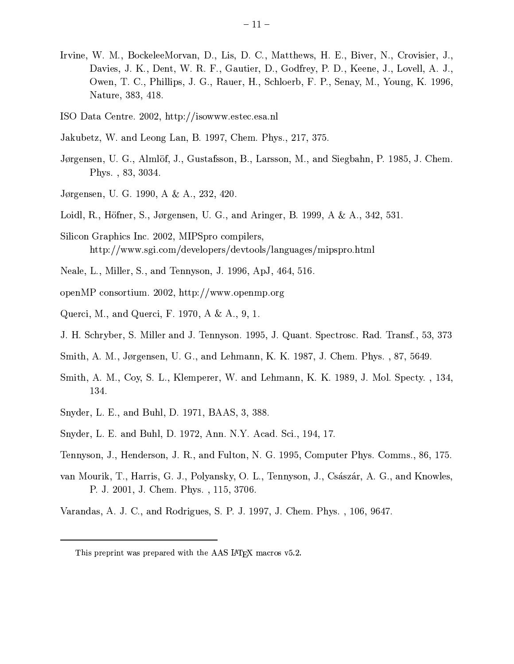- Irvine, W. M., BockeleeMorvan, D., Lis, D. C., Matthews, H. E., Biver, N., Crovisier, J., Davies, J. K., Dent, W. R. F., Gautier, D., Godfrey, P. D., Keene, J., Lovell, A. J., Owen, T. C., Phillips, J. G., Rauer, H., Schloerb, F. P., Senay, M., Young, K. 1996, Nature, 383, 418.
- ISO Data Centre. 2002, http://isowww.estec.esa.nl
- Jakubetz, W. and Leong Lan, B. 1997, Chem. Phys., 217, 375.
- Jørgensen, U. G., Almlöf, J., Gustafsson, B., Larsson, M., and Siegbahn, P. 1985, J. Chem. Phys., 83, 3034.
- Jørgensen, U. G. 1990, A & A., 232, 420.
- Loidl, R., Höfner, S., Jørgensen, U. G., and Aringer, B. 1999, A & A., 342, 531.
- Silicon Graphics Inc. 2002, MIPSpro compilers, http://www.sgi.com/developers/devtools/languages/mipspro.html
- Neale, L., Miller, S., and Tennyson, J. 1996, ApJ, 464, 516.
- openMP consortium. 2002, http://www.openmp.org
- Querci, M., and Querci, F. 1970, A & A., 9, 1.
- J. H. Schryber, S. Miller and J. Tennyson. 1995, J. Quant. Spectrosc. Rad. Transf., 53, 373
- Smith, A. M., Jørgensen, U. G., and Lehmann, K. K. 1987, J. Chem. Phys., 87, 5649.
- Smith, A. M., Coy, S. L., Klemperer, W. and Lehmann, K. K. 1989, J. Mol. Specty., 134, 134.
- Snyder, L. E., and Buhl, D. 1971, BAAS, 3, 388.
- Snyder, L. E. and Buhl, D. 1972, Ann. N.Y. Acad. Sci., 194, 17.
- Tennyson, J., Henderson, J. R., and Fulton, N. G. 1995, Computer Phys. Comms., 86, 175.
- van Mourik, T., Harris, G. J., Polyansky, O. L., Tennyson, J., Császár, A. G., and Knowles, P. J. 2001, J. Chem. Phys., 115, 3706.
- Varandas, A. J. C., and Rodrigues, S. P. J. 1997, J. Chem. Phys., 106, 9647.

This preprint was prepared with the AAS IATEX macros v5.2.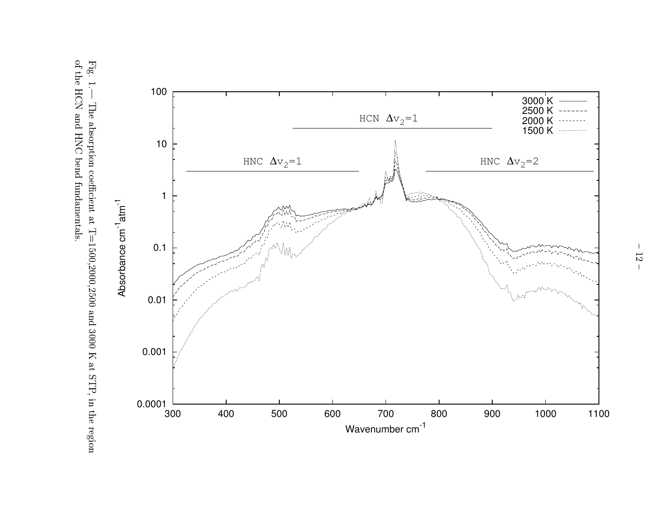Fig. 1.– of the HCN and HNC bend fundamentals. – The absorption coefficient at  $T=1500,2000,2500$  and 3000 K at STP, in the region



 $\parallel$  $-5$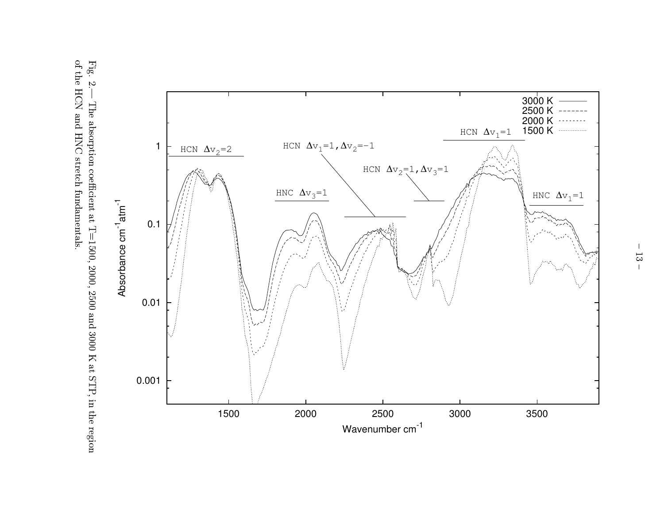of the HCN and HNC stretch fundamentals. Fig. 2.— The absorption coefficient at T=1500, 2000, 2500 and 3000 K at STP, in the region

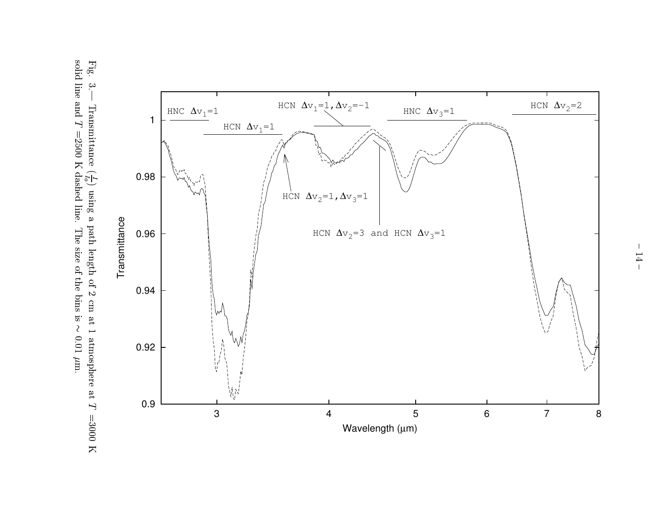Fig. 3.— Transmittance  $(\frac{I}{I_0})$  using a path length of 2 cm at 1 atmosphere at  $T = 3000$  K solid line and  $T = 2500$  K dashed line. The size of the bins is  $\sim 0.01 \mu$ m.

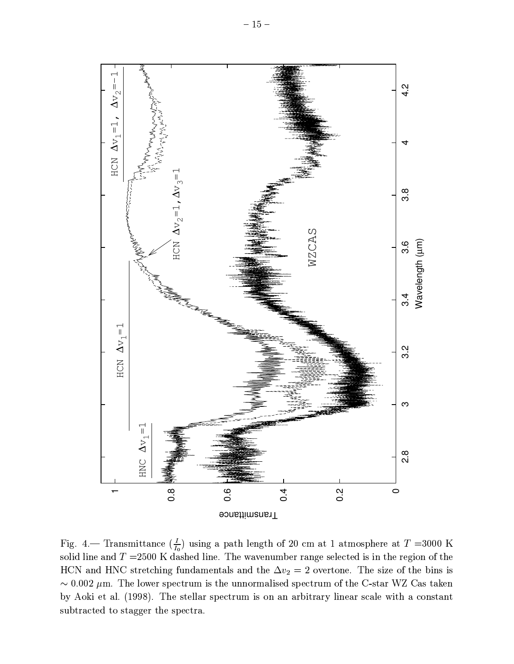

Fig. 4.— Transmittance  $(\frac{I}{I_0})$  using a path length of 20 cm at 1 atmosphere at  $T = 3000$  K solid line and  $T = 2500$  K dashed line. The wavenumber range selected is in the region of the HCN and HNC stretching fundamentals and the  $\Delta v_2 = 2$  overtone. The size of the bins is  $\sim 0.002 \mu$ m. The lower spectrum is the unnormalised spectrum of the C-star WZ Cas taken by Aoki et al. (1998). The stellar spectrum is on an arbitrary linear scale with a constant subtracted to stagger the spectra.